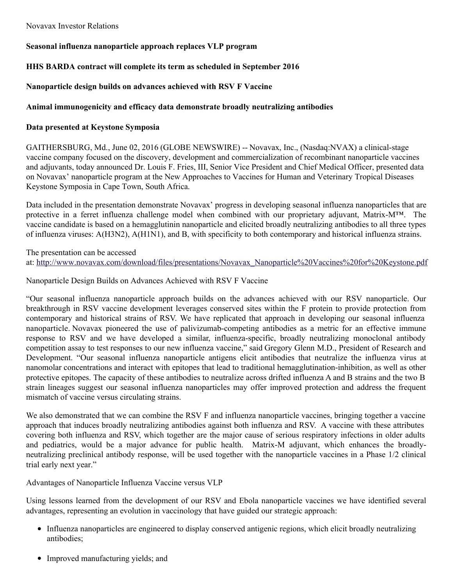# **Seasonal influenza nanoparticle approach replaces VLP program**

# **HHS BARDA contract will complete its term as scheduled in September 2016**

## **Nanoparticle design builds on advances achieved with RSV F Vaccine**

### **Animal immunogenicity and efficacy data demonstrate broadly neutralizing antibodies**

### **Data presented at Keystone Symposia**

GAITHERSBURG, Md., June 02, 2016 (GLOBE NEWSWIRE) -- Novavax, Inc., (Nasdaq:NVAX) a clinical-stage vaccine company focused on the discovery, development and commercialization of recombinant nanoparticle vaccines and adjuvants, today announced Dr. Louis F. Fries, III, Senior Vice President and Chief Medical Officer, presented data on Novavax' nanoparticle program at the New Approaches to Vaccines for Human and Veterinary Tropical Diseases Keystone Symposia in Cape Town, South Africa.

Data included in the presentation demonstrate Novavax' progress in developing seasonal influenza nanoparticles that are protective in a ferret influenza challenge model when combined with our proprietary adjuvant, Matrix-M™. The vaccine candidate is based on a hemagglutinin nanoparticle and elicited broadly neutralizing antibodies to all three types of influenza viruses: A(H3N2), A(H1N1), and B, with specificity to both contemporary and historical influenza strains.

The presentation can be accessed at: [http://www.novavax.com/download/files/presentations/Novavax\\_Nanoparticle%20Vaccines%20for%20Keystone.pdf](http://www.globenewswire.com/Tracker?data=ZOihsNHIg_b54MiSx1MxN9QMPYMdNLal8KND2dXftyCtNYp8x4SXMbxAEybV7DRG0IRcdYXBs4zWGh5VmF3mzMrDnZ3LreoLcKiixEunnpJ_5HkoqPsZWPtykFcbhfA4-7bk2rO6wRrVD9CHDRtPIpBMlkMyABG8RKNXxA6dj-zYNeW1AqhDFr-9A9ksekspCKnTXOv_4FscEk17veNNDOZjaCQ_naY-HQM2ZTWlA5k7v-3zHYczIQF4X35ottI6lhNUF27VSeNeouoJiqYET1a8ISPPla1w8hkuvH2sKdEb-ROnc4SxOMyH8y_THEYz)

Nanoparticle Design Builds on Advances Achieved with RSV F Vaccine

"Our seasonal influenza nanoparticle approach builds on the advances achieved with our RSV nanoparticle. Our breakthrough in RSV vaccine development leverages conserved sites within the F protein to provide protection from contemporary and historical strains of RSV. We have replicated that approach in developing our seasonal influenza nanoparticle. Novavax pioneered the use of palivizumab-competing antibodies as a metric for an effective immune response to RSV and we have developed a similar, influenza-specific, broadly neutralizing monoclonal antibody competition assay to test responses to our new influenza vaccine," said Gregory Glenn M.D., President of Research and Development. "Our seasonal influenza nanoparticle antigens elicit antibodies that neutralize the influenza virus at nanomolar concentrations and interact with epitopes that lead to traditional hemagglutination-inhibition, as well as other protective epitopes. The capacity of these antibodies to neutralize across drifted influenza A and B strains and the two B strain lineages suggest our seasonal influenza nanoparticles may offer improved protection and address the frequent mismatch of vaccine versus circulating strains.

We also demonstrated that we can combine the RSV F and influenza nanoparticle vaccines, bringing together a vaccine approach that induces broadly neutralizing antibodies against both influenza and RSV. A vaccine with these attributes covering both influenza and RSV, which together are the major cause of serious respiratory infections in older adults and pediatrics, would be a major advance for public health. Matrix-M adjuvant, which enhances the broadlyneutralizing preclinical antibody response, will be used together with the nanoparticle vaccines in a Phase 1/2 clinical trial early next year."

## Advantages of Nanoparticle Influenza Vaccine versus VLP

Using lessons learned from the development of our RSV and Ebola nanoparticle vaccines we have identified several advantages, representing an evolution in vaccinology that have guided our strategic approach:

- Influenza nanoparticles are engineered to display conserved antigenic regions, which elicit broadly neutralizing antibodies;
- Improved manufacturing yields; and